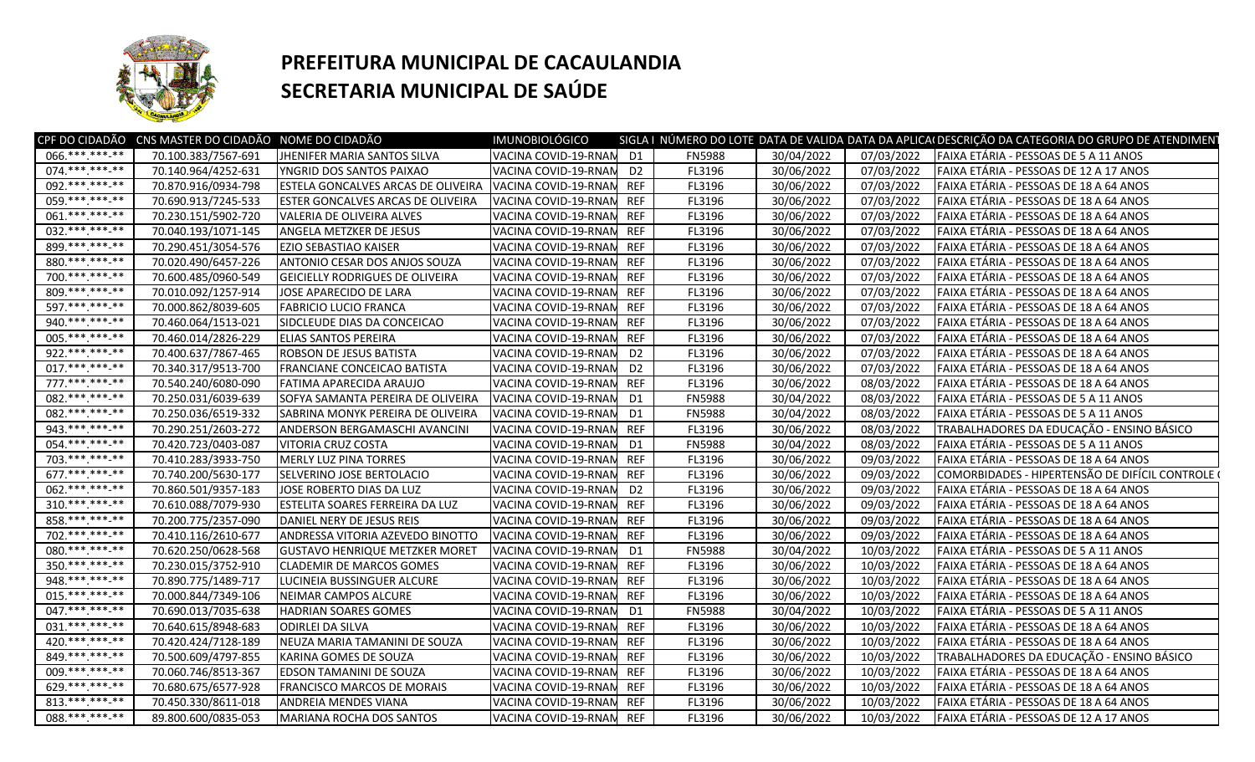

## **PREFEITURA MUNICIPAL DE CACAULANDIA SECRETARIA MUNICIPAL DE SAÚDE**

|                   | CPF DO CIDADÃO CNS MASTER DO CIDADÃO NOME DO CIDADÃO |                                           | <b>IMUNOBIOLÓGICO</b>    |                |               |            |            | SIGLA I NÚMERO DO LOTE DATA DE VALIDA DATA DA APLICA DESCRIÇÃO DA CATEGORIA DO GRUPO DE ATENDIMEN |
|-------------------|------------------------------------------------------|-------------------------------------------|--------------------------|----------------|---------------|------------|------------|---------------------------------------------------------------------------------------------------|
| 066.***.***.**    | 70.100.383/7567-691                                  | JHENIFER MARIA SANTOS SILVA               | VACINA COVID-19-RNAN D1  |                | <b>FN5988</b> | 30/04/2022 | 07/03/2022 | FAIXA ETÁRIA - PESSOAS DE 5 A 11 ANOS                                                             |
| 074.*********     | 70.140.964/4252-631                                  | YNGRID DOS SANTOS PAIXAO                  | VACINA COVID-19-RNAN D2  |                | FL3196        | 30/06/2022 | 07/03/2022 | FAIXA ETÁRIA - PESSOAS DE 12 A 17 ANOS                                                            |
| 092.***.***-**    | 70.870.916/0934-798                                  | <b>ESTELA GONCALVES ARCAS DE OLIVEIRA</b> | VACINA COVID-19-RNAN     | <b>REF</b>     | FL3196        | 30/06/2022 | 07/03/2022 | FAIXA ETÁRIA - PESSOAS DE 18 A 64 ANOS                                                            |
| 059 *** *** **    | 70.690.913/7245-533                                  | ESTER GONCALVES ARCAS DE OLIVEIRA         | VACINA COVID-19-RNAN     | <b>REF</b>     | FL3196        | 30/06/2022 | 07/03/2022 | FAIXA ETÁRIA - PESSOAS DE 18 A 64 ANOS                                                            |
| 061.***.***.**    | 70.230.151/5902-720                                  | VALERIA DE OLIVEIRA ALVES                 | VACINA COVID-19-RNAM     | <b>REF</b>     | FL3196        | 30/06/2022 | 07/03/2022 | FAIXA ETÁRIA - PESSOAS DE 18 A 64 ANOS                                                            |
| 032.*** ***-**    | 70.040.193/1071-145                                  | ANGELA METZKER DE JESUS                   | VACINA COVID-19-RNAN     | <b>REF</b>     | FL3196        | 30/06/2022 | 07/03/2022 | FAIXA ETÁRIA - PESSOAS DE 18 A 64 ANOS                                                            |
| 899.***.***.**    | 70.290.451/3054-576                                  | <b>EZIO SEBASTIAO KAISER</b>              | VACINA COVID-19-RNAN     | <b>REF</b>     | FL3196        | 30/06/2022 | 07/03/2022 | FAIXA ETÁRIA - PESSOAS DE 18 A 64 ANOS                                                            |
| 880.*** *** **    | 70.020.490/6457-226                                  | ANTONIO CESAR DOS ANJOS SOUZA             | VACINA COVID-19-RNAN     | <b>REF</b>     | FL3196        | 30/06/2022 | 07/03/2022 | FAIXA ETÁRIA - PESSOAS DE 18 A 64 ANOS                                                            |
| 700.*** ***-**    | 70.600.485/0960-549                                  | <b>GEICIELLY RODRIGUES DE OLIVEIRA</b>    | VACINA COVID-19-RNAN     | <b>REF</b>     | FL3196        | 30/06/2022 | 07/03/2022 | FAIXA ETÁRIA - PESSOAS DE 18 A 64 ANOS                                                            |
| 809.***.***.**    | 70.010.092/1257-914                                  | JOSE APARECIDO DE LARA                    | VACINA COVID-19-RNAN     | <b>REF</b>     | FL3196        | 30/06/2022 | 07/03/2022 | FAIXA ETÁRIA - PESSOAS DE 18 A 64 ANOS                                                            |
| 597.*********     | 70.000.862/8039-605                                  | <b>FABRICIO LUCIO FRANCA</b>              | VACINA COVID-19-RNAM     | <b>REF</b>     | FL3196        | 30/06/2022 | 07/03/2022 | FAIXA ETÁRIA - PESSOAS DE 18 A 64 ANOS                                                            |
| 940.*********     | 70.460.064/1513-021                                  | SIDCLEUDE DIAS DA CONCEICAO               | VACINA COVID-19-RNAM     | <b>REF</b>     | FL3196        | 30/06/2022 | 07/03/2022 | FAIXA ETÁRIA - PESSOAS DE 18 A 64 ANOS                                                            |
| 005.***.***-**    | 70.460.014/2826-229                                  | <b>ELIAS SANTOS PEREIRA</b>               | VACINA COVID-19-RNAN     | <b>REF</b>     | FL3196        | 30/06/2022 | 07/03/2022 | FAIXA ETÁRIA - PESSOAS DE 18 A 64 ANOS                                                            |
| 922.***.***-**    | 70.400.637/7867-465                                  | ROBSON DE JESUS BATISTA                   | VACINA COVID-19-RNAN     | D <sub>2</sub> | FL3196        | 30/06/2022 | 07/03/2022 | FAIXA ETÁRIA - PESSOAS DE 18 A 64 ANOS                                                            |
| 017.*** ***-**    | 70.340.317/9513-700                                  | FRANCIANE CONCEICAO BATISTA               | VACINA COVID-19-RNAN     | D <sub>2</sub> | FL3196        | 30/06/2022 | 07/03/2022 | FAIXA ETÁRIA - PESSOAS DE 18 A 64 ANOS                                                            |
| 777.*********     | 70.540.240/6080-090                                  | FATIMA APARECIDA ARAUJO                   | VACINA COVID-19-RNAM     | <b>REF</b>     | FL3196        | 30/06/2022 | 08/03/2022 | FAIXA ETÁRIA - PESSOAS DE 18 A 64 ANOS                                                            |
| 082. *** *** **   | 70.250.031/6039-639                                  | SOFYA SAMANTA PEREIRA DE OLIVEIRA         | VACINA COVID-19-RNAM     | D <sub>1</sub> | <b>FN5988</b> | 30/04/2022 | 08/03/2022 | FAIXA ETÁRIA - PESSOAS DE 5 A 11 ANOS                                                             |
| 082. *** *** **   | 70.250.036/6519-332                                  | SABRINA MONYK PEREIRA DE OLIVEIRA         | VACINA COVID-19-RNAM     | D <sub>1</sub> | <b>FN5988</b> | 30/04/2022 | 08/03/2022 | FAIXA ETÁRIA - PESSOAS DE 5 A 11 ANOS                                                             |
| 943.**********    | 70.290.251/2603-272                                  | ANDERSON BERGAMASCHI AVANCINI             | VACINA COVID-19-RNAN     | <b>REF</b>     | FL3196        | 30/06/2022 | 08/03/2022 | TRABALHADORES DA EDUCAÇÃO - ENSINO BÁSICO                                                         |
| 054.*** ***-**    | 70.420.723/0403-087                                  | VITORIA CRUZ COSTA                        | VACINA COVID-19-RNAN     | D1             | <b>FN5988</b> | 30/04/2022 | 08/03/2022 | FAIXA ETÁRIA - PESSOAS DE 5 A 11 ANOS                                                             |
| 703.*** ***-**    | 70.410.283/3933-750                                  | MERLY LUZ PINA TORRES                     | VACINA COVID-19-RNAN     | <b>REF</b>     | FL3196        | 30/06/2022 | 09/03/2022 | FAIXA ETÁRIA - PESSOAS DE 18 A 64 ANOS                                                            |
| $677$ .***.***_** | 70.740.200/5630-177                                  | SELVERINO JOSE BERTOLACIO                 | VACINA COVID-19-RNAM     | <b>REF</b>     | FL3196        | 30/06/2022 | 09/03/2022 | COMORBIDADES - HIPERTENSÃO DE DIFÍCIL CONTROLE                                                    |
| $062.*********$   | 70.860.501/9357-183                                  | JOSE ROBERTO DIAS DA LUZ                  | VACINA COVID-19-RNAN     | D <sub>2</sub> | FL3196        | 30/06/2022 | 09/03/2022 | FAIXA ETÁRIA - PESSOAS DE 18 A 64 ANOS                                                            |
| $310.*******.**$  | 70.610.088/7079-930                                  | <b>ESTELITA SOARES FERREIRA DA LUZ</b>    | VACINA COVID-19-RNAM     | <b>REF</b>     | FL3196        | 30/06/2022 | 09/03/2022 | FAIXA ETÁRIA - PESSOAS DE 18 A 64 ANOS                                                            |
| 858.*** *** **    | 70.200.775/2357-090                                  | DANIEL NERY DE JESUS REIS                 | VACINA COVID-19-RNAM     | <b>REF</b>     | FL3196        | 30/06/2022 | 09/03/2022 | FAIXA ETÁRIA - PESSOAS DE 18 A 64 ANOS                                                            |
| 702.***.***.**    | 70.410.116/2610-677                                  | ANDRESSA VITORIA AZEVEDO BINOTTO          | VACINA COVID-19-RNAN     | <b>REF</b>     | FL3196        | 30/06/2022 | 09/03/2022 | FAIXA ETÁRIA - PESSOAS DE 18 A 64 ANOS                                                            |
| 080. *** *** -**  | 70.620.250/0628-568                                  | <b>GUSTAVO HENRIQUE METZKER MORET</b>     | VACINA COVID-19-RNAM     | D <sub>1</sub> | <b>FN5988</b> | 30/04/2022 | 10/03/2022 | FAIXA ETÁRIA - PESSOAS DE 5 A 11 ANOS                                                             |
| $350.*******.**$  | 70.230.015/3752-910                                  | <b>CLADEMIR DE MARCOS GOMES</b>           | VACINA COVID-19-RNAM     | <b>REF</b>     | FL3196        | 30/06/2022 | 10/03/2022 | FAIXA ETÁRIA - PESSOAS DE 18 A 64 ANOS                                                            |
| 948.***.***-**    | 70.890.775/1489-717                                  | LUCINEIA BUSSINGUER ALCURE                | VACINA COVID-19-RNAM     | <b>REF</b>     | FL3196        | 30/06/2022 | 10/03/2022 | FAIXA ETÁRIA - PESSOAS DE 18 A 64 ANOS                                                            |
| 015.**********    | 70.000.844/7349-106                                  | NEIMAR CAMPOS ALCURE                      | VACINA COVID-19-RNAM     | <b>REF</b>     | FL3196        | 30/06/2022 | 10/03/2022 | FAIXA ETÁRIA - PESSOAS DE 18 A 64 ANOS                                                            |
| 047.**********    | 70.690.013/7035-638                                  | <b>HADRIAN SOARES GOMES</b>               | VACINA COVID-19-RNAM     | D <sub>1</sub> | <b>FN5988</b> | 30/04/2022 | 10/03/2022 | FAIXA ETÁRIA - PESSOAS DE 5 A 11 ANOS                                                             |
| 031.**********    | 70.640.615/8948-683                                  | <b>ODIRLEI DA SILVA</b>                   | VACINA COVID-19-RNAN     | <b>REF</b>     | FL3196        | 30/06/2022 | 10/03/2022 | FAIXA ETÁRIA - PESSOAS DE 18 A 64 ANOS                                                            |
| 420.*********     | 70.420.424/7128-189                                  | NEUZA MARIA TAMANINI DE SOUZA             | VACINA COVID-19-RNAM     | <b>REF</b>     | FL3196        | 30/06/2022 | 10/03/2022 | FAIXA ETÁRIA - PESSOAS DE 18 A 64 ANOS                                                            |
| 849.*******.**    | 70.500.609/4797-855                                  | KARINA GOMES DE SOUZA                     | VACINA COVID-19-RNAM     | <b>REF</b>     | FL3196        | 30/06/2022 | 10/03/2022 | TRABALHADORES DA EDUCAÇÃO - ENSINO BÁSICO                                                         |
| 009.*** ***-**    | 70.060.746/8513-367                                  | EDSON TAMANINI DE SOUZA                   | VACINA COVID-19-RNAM     | <b>REF</b>     | FL3196        | 30/06/2022 | 10/03/2022 | FAIXA ETÁRIA - PESSOAS DE 18 A 64 ANOS                                                            |
| 629. *** *** -**  | 70.680.675/6577-928                                  | <b>FRANCISCO MARCOS DE MORAIS</b>         | VACINA COVID-19-RNAM     | <b>REF</b>     | FL3196        | 30/06/2022 | 10/03/2022 | FAIXA ETÁRIA - PESSOAS DE 18 A 64 ANOS                                                            |
| 813.*** *** **    | 70.450.330/8611-018                                  | <b>ANDREIA MENDES VIANA</b>               | VACINA COVID-19-RNAN     | REF            | FL3196        | 30/06/2022 | 10/03/2022 | FAIXA ETÁRIA - PESSOAS DE 18 A 64 ANOS                                                            |
| 088.*** ***-**    | 89.800.600/0835-053                                  | MARIANA ROCHA DOS SANTOS                  | VACINA COVID-19-RNAN REF |                | FL3196        | 30/06/2022 | 10/03/2022 | FAIXA ETÁRIA - PESSOAS DE 12 A 17 ANOS                                                            |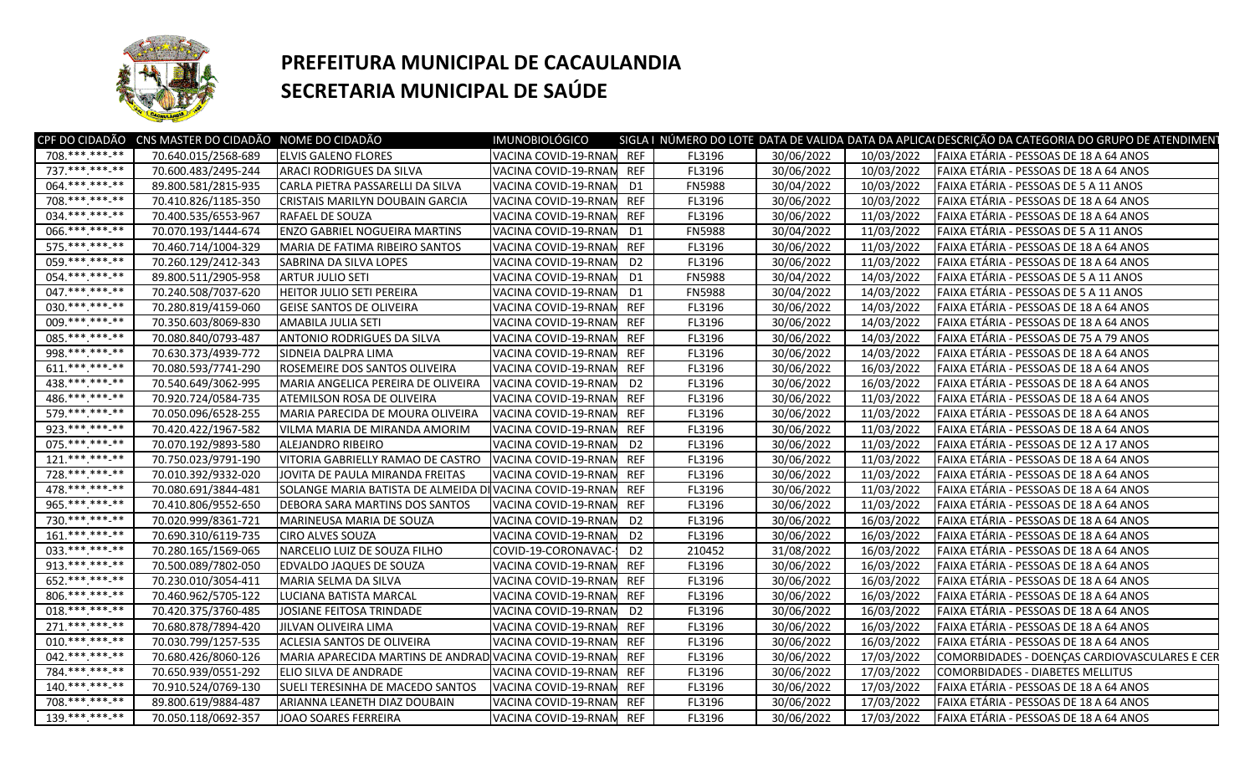

## **PREFEITURA MUNICIPAL DE CACAULANDIA SECRETARIA MUNICIPAL DE SAÚDE**

| 708.***.***-**<br><b>REF</b><br>70.640.015/2568-689<br><b>ELVIS GALENO FLORES</b><br>VACINA COVID-19-RNAN<br>FL3196<br>30/06/2022<br>10/03/2022<br>FAIXA ETÁRIA - PESSOAS DE 18 A 64 ANOS<br>737. *** *** -**<br><b>REF</b><br>30/06/2022<br>70.600.483/2495-244<br>ARACI RODRIGUES DA SILVA<br>VACINA COVID-19-RNAN<br>FL3196<br>10/03/2022<br>FAIXA ETÁRIA - PESSOAS DE 18 A 64 ANOS<br>064.**********<br>30/04/2022<br>89.800.581/2815-935<br>10/03/2022<br>FAIXA ETÁRIA - PESSOAS DE 5 A 11 ANOS<br>CARLA PIETRA PASSARELLI DA SILVA<br>VACINA COVID-19-RNAN<br>D <sub>1</sub><br><b>FN5988</b><br>708.***.***-**<br><b>REF</b><br>70.410.826/1185-350<br>CRISTAIS MARILYN DOUBAIN GARCIA<br>30/06/2022<br>10/03/2022<br>FAIXA ETÁRIA - PESSOAS DE 18 A 64 ANOS<br>VACINA COVID-19-RNAM<br>FL3196<br>034. *** *** **<br><b>REF</b><br>30/06/2022<br>70.400.535/6553-967<br>RAFAEL DE SOUZA<br>VACINA COVID-19-RNAM<br>FL3196<br>11/03/2022<br>FAIXA ETÁRIA - PESSOAS DE 18 A 64 ANOS<br>066.**********<br><b>ENZO GABRIEL NOGUEIRA MARTINS</b><br>70.070.193/1444-674<br>VACINA COVID-19-RNAM<br>D <sub>1</sub><br><b>FN5988</b><br>30/04/2022<br>11/03/2022<br>FAIXA ETÁRIA - PESSOAS DE 5 A 11 ANOS<br>575.******* <sub>**</sub><br><b>REF</b><br>70.460.714/1004-329<br>FL3196<br>30/06/2022<br>11/03/2022<br>FAIXA ETÁRIA - PESSOAS DE 18 A 64 ANOS<br>MARIA DE FATIMA RIBEIRO SANTOS<br>VACINA COVID-19-RNAN<br>059.********* |
|----------------------------------------------------------------------------------------------------------------------------------------------------------------------------------------------------------------------------------------------------------------------------------------------------------------------------------------------------------------------------------------------------------------------------------------------------------------------------------------------------------------------------------------------------------------------------------------------------------------------------------------------------------------------------------------------------------------------------------------------------------------------------------------------------------------------------------------------------------------------------------------------------------------------------------------------------------------------------------------------------------------------------------------------------------------------------------------------------------------------------------------------------------------------------------------------------------------------------------------------------------------------------------------------------------------------------------------------------------------------------------------------------------------------------------------|
|                                                                                                                                                                                                                                                                                                                                                                                                                                                                                                                                                                                                                                                                                                                                                                                                                                                                                                                                                                                                                                                                                                                                                                                                                                                                                                                                                                                                                                        |
|                                                                                                                                                                                                                                                                                                                                                                                                                                                                                                                                                                                                                                                                                                                                                                                                                                                                                                                                                                                                                                                                                                                                                                                                                                                                                                                                                                                                                                        |
|                                                                                                                                                                                                                                                                                                                                                                                                                                                                                                                                                                                                                                                                                                                                                                                                                                                                                                                                                                                                                                                                                                                                                                                                                                                                                                                                                                                                                                        |
|                                                                                                                                                                                                                                                                                                                                                                                                                                                                                                                                                                                                                                                                                                                                                                                                                                                                                                                                                                                                                                                                                                                                                                                                                                                                                                                                                                                                                                        |
|                                                                                                                                                                                                                                                                                                                                                                                                                                                                                                                                                                                                                                                                                                                                                                                                                                                                                                                                                                                                                                                                                                                                                                                                                                                                                                                                                                                                                                        |
|                                                                                                                                                                                                                                                                                                                                                                                                                                                                                                                                                                                                                                                                                                                                                                                                                                                                                                                                                                                                                                                                                                                                                                                                                                                                                                                                                                                                                                        |
|                                                                                                                                                                                                                                                                                                                                                                                                                                                                                                                                                                                                                                                                                                                                                                                                                                                                                                                                                                                                                                                                                                                                                                                                                                                                                                                                                                                                                                        |
| D <sub>2</sub><br>30/06/2022<br>70.260.129/2412-343<br>FL3196<br>11/03/2022<br>FAIXA ETÁRIA - PESSOAS DE 18 A 64 ANOS<br><b>I</b> SABRINA DA SILVA LOPES<br>VACINA COVID-19-RNAN                                                                                                                                                                                                                                                                                                                                                                                                                                                                                                                                                                                                                                                                                                                                                                                                                                                                                                                                                                                                                                                                                                                                                                                                                                                       |
| 054 *** *** **<br>89.800.511/2905-958<br>D1<br><b>FN5988</b><br>30/04/2022<br>14/03/2022<br>FAIXA ETÁRIA - PESSOAS DE 5 A 11 ANOS<br><b>ARTUR JULIO SETI</b><br>VACINA COVID-19-RNAN                                                                                                                                                                                                                                                                                                                                                                                                                                                                                                                                                                                                                                                                                                                                                                                                                                                                                                                                                                                                                                                                                                                                                                                                                                                   |
| 047.*** *** **<br>HEITOR JULIO SETI PEREIRA<br>70.240.508/7037-620<br>D1<br><b>FN5988</b><br>30/04/2022<br>14/03/2022<br>FAIXA ETÁRIA - PESSOAS DE 5 A 11 ANOS<br>VACINA COVID-19-RNAN                                                                                                                                                                                                                                                                                                                                                                                                                                                                                                                                                                                                                                                                                                                                                                                                                                                                                                                                                                                                                                                                                                                                                                                                                                                 |
| 030.******* <sub>**</sub><br><b>REF</b><br>30/06/2022<br>14/03/2022<br>70.280.819/4159-060<br><b>GEISE SANTOS DE OLIVEIRA</b><br>VACINA COVID-19-RNAM<br>FL3196<br>FAIXA ETÁRIA - PESSOAS DE 18 A 64 ANOS                                                                                                                                                                                                                                                                                                                                                                                                                                                                                                                                                                                                                                                                                                                                                                                                                                                                                                                                                                                                                                                                                                                                                                                                                              |
| 009.***.***.**<br><b>REF</b><br>30/06/2022<br>14/03/2022<br>70.350.603/8069-830<br>AMABILA JULIA SETI<br>VACINA COVID-19-RNAN<br>FL3196<br>FAIXA ETÁRIA - PESSOAS DE 18 A 64 ANOS                                                                                                                                                                                                                                                                                                                                                                                                                                                                                                                                                                                                                                                                                                                                                                                                                                                                                                                                                                                                                                                                                                                                                                                                                                                      |
| 085.*** ***-**<br><b>REF</b><br>30/06/2022<br>14/03/2022<br>70.080.840/0793-487<br><b>ANTONIO RODRIGUES DA SILVA</b><br>VACINA COVID-19-RNAM<br>FL3196<br>FAIXA ETÁRIA - PESSOAS DE 75 A 79 ANOS                                                                                                                                                                                                                                                                                                                                                                                                                                                                                                                                                                                                                                                                                                                                                                                                                                                                                                                                                                                                                                                                                                                                                                                                                                       |
| 998.*********<br>30/06/2022<br><b>REF</b><br>14/03/2022<br>FAIXA ETÁRIA - PESSOAS DE 18 A 64 ANOS<br>70.630.373/4939-772<br><b>SIDNEIA DALPRA LIMA</b><br>VACINA COVID-19-RNAM<br>FL3196                                                                                                                                                                                                                                                                                                                                                                                                                                                                                                                                                                                                                                                                                                                                                                                                                                                                                                                                                                                                                                                                                                                                                                                                                                               |
| 611.*** ***-**<br>ROSEMEIRE DOS SANTOS OLIVEIRA<br><b>REF</b><br>30/06/2022<br>16/03/2022<br>FAIXA ETÁRIA - PESSOAS DE 18 A 64 ANOS<br>70.080.593/7741-290<br>VACINA COVID-19-RNAN<br>FL3196                                                                                                                                                                                                                                                                                                                                                                                                                                                                                                                                                                                                                                                                                                                                                                                                                                                                                                                                                                                                                                                                                                                                                                                                                                           |
| 438.*********<br>70.540.649/3062-995<br>D <sub>2</sub><br>30/06/2022<br>16/03/2022<br>FAIXA ETÁRIA - PESSOAS DE 18 A 64 ANOS<br>MARIA ANGELICA PEREIRA DE OLIVEIRA<br>VACINA COVID-19-RNAN<br>FL3196                                                                                                                                                                                                                                                                                                                                                                                                                                                                                                                                                                                                                                                                                                                                                                                                                                                                                                                                                                                                                                                                                                                                                                                                                                   |
| 486.*** ***-**<br><b>REF</b><br>30/06/2022<br>11/03/2022<br>70.920.724/0584-735<br><b>ATEMILSON ROSA DE OLIVEIRA</b><br>VACINA COVID-19-RNAM<br>FL3196<br>FAIXA ETÁRIA - PESSOAS DE 18 A 64 ANOS                                                                                                                                                                                                                                                                                                                                                                                                                                                                                                                                                                                                                                                                                                                                                                                                                                                                                                                                                                                                                                                                                                                                                                                                                                       |
| 579.***.***.**<br>70.050.096/6528-255<br><b>REF</b><br>30/06/2022<br>11/03/2022<br>FAIXA ETÁRIA - PESSOAS DE 18 A 64 ANOS<br>MARIA PARECIDA DE MOURA OLIVEIRA<br>VACINA COVID-19-RNAM<br>FL3196                                                                                                                                                                                                                                                                                                                                                                                                                                                                                                                                                                                                                                                                                                                                                                                                                                                                                                                                                                                                                                                                                                                                                                                                                                        |
| 923. *** *** **<br>30/06/2022<br>70.420.422/1967-582<br><b>REF</b><br>FL3196<br>11/03/2022<br>FAIXA ETÁRIA - PESSOAS DE 18 A 64 ANOS<br>VILMA MARIA DE MIRANDA AMORIM<br>VACINA COVID-19-RNAN                                                                                                                                                                                                                                                                                                                                                                                                                                                                                                                                                                                                                                                                                                                                                                                                                                                                                                                                                                                                                                                                                                                                                                                                                                          |
| 075.***.***-**<br>30/06/2022<br>70.070.192/9893-580<br>D <sub>2</sub><br>FL3196<br>11/03/2022<br>FAIXA ETÁRIA - PESSOAS DE 12 A 17 ANOS<br>IALEJANDRO RIBEIRO<br>VACINA COVID-19-RNAN                                                                                                                                                                                                                                                                                                                                                                                                                                                                                                                                                                                                                                                                                                                                                                                                                                                                                                                                                                                                                                                                                                                                                                                                                                                  |
| $121.****.**.**$<br><b>REF</b><br>VITORIA GABRIELLY RAMAO DE CASTRO<br>FL3196<br>30/06/2022<br>11/03/2022<br>FAIXA ETÁRIA - PESSOAS DE 18 A 64 ANOS<br>70.750.023/9791-190<br>VACINA COVID-19-RNAM                                                                                                                                                                                                                                                                                                                                                                                                                                                                                                                                                                                                                                                                                                                                                                                                                                                                                                                                                                                                                                                                                                                                                                                                                                     |
| 728.***.***.**<br><b>REF</b><br>30/06/2022<br>70.010.392/9332-020<br>FL3196<br>11/03/2022<br>FAIXA ETÁRIA - PESSOAS DE 18 A 64 ANOS<br>JOVITA DE PAULA MIRANDA FREITAS<br>VACINA COVID-19-RNAN                                                                                                                                                                                                                                                                                                                                                                                                                                                                                                                                                                                                                                                                                                                                                                                                                                                                                                                                                                                                                                                                                                                                                                                                                                         |
| 478.***.***.**<br><b>REF</b><br>30/06/2022<br>70.080.691/3844-481<br>SOLANGE MARIA BATISTA DE ALMEIDA DI VACINA COVID-19-RNAM<br>FL3196<br>11/03/2022<br>FAIXA ETÁRIA - PESSOAS DE 18 A 64 ANOS                                                                                                                                                                                                                                                                                                                                                                                                                                                                                                                                                                                                                                                                                                                                                                                                                                                                                                                                                                                                                                                                                                                                                                                                                                        |
| 965. *** *** -**<br>30/06/2022<br>70.410.806/9552-650<br><b>DEBORA SARA MARTINS DOS SANTOS</b><br>VACINA COVID-19-RNAM<br><b>REF</b><br>FL3196<br>11/03/2022<br>FAIXA ETÁRIA - PESSOAS DE 18 A 64 ANOS                                                                                                                                                                                                                                                                                                                                                                                                                                                                                                                                                                                                                                                                                                                                                                                                                                                                                                                                                                                                                                                                                                                                                                                                                                 |
| 730.***.***.**<br>30/06/2022<br>16/03/2022<br>70.020.999/8361-721<br>VACINA COVID-19-RNAM<br>D <sub>2</sub><br>FL3196<br>FAIXA ETÁRIA - PESSOAS DE 18 A 64 ANOS<br>MARINEUSA MARIA DE SOUZA                                                                                                                                                                                                                                                                                                                                                                                                                                                                                                                                                                                                                                                                                                                                                                                                                                                                                                                                                                                                                                                                                                                                                                                                                                            |
| 161.*** ***-**<br>70.690.310/6119-735<br>D <sub>2</sub><br>30/06/2022<br>16/03/2022<br>FAIXA ETÁRIA - PESSOAS DE 18 A 64 ANOS<br><b>CIRO ALVES SOUZA</b><br>VACINA COVID-19-RNAN<br>FL3196                                                                                                                                                                                                                                                                                                                                                                                                                                                                                                                                                                                                                                                                                                                                                                                                                                                                                                                                                                                                                                                                                                                                                                                                                                             |
| 033. *** *** **<br>NARCELIO LUIZ DE SOUZA FILHO<br>70.280.165/1569-065<br>COVID-19-CORONAVAC-<br>D <sub>2</sub><br>31/08/2022<br>16/03/2022<br>FAIXA ETÁRIA - PESSOAS DE 18 A 64 ANOS<br>210452                                                                                                                                                                                                                                                                                                                                                                                                                                                                                                                                                                                                                                                                                                                                                                                                                                                                                                                                                                                                                                                                                                                                                                                                                                        |
| 913.**********<br><b>REF</b><br>30/06/2022<br>70.500.089/7802-050<br>FL3196<br>16/03/2022<br>FAIXA ETÁRIA - PESSOAS DE 18 A 64 ANOS<br><b>EDVALDO JAQUES DE SOUZA</b><br>VACINA COVID-19-RNAM                                                                                                                                                                                                                                                                                                                                                                                                                                                                                                                                                                                                                                                                                                                                                                                                                                                                                                                                                                                                                                                                                                                                                                                                                                          |
| 652.**********<br><b>REF</b><br>30/06/2022<br>16/03/2022<br>70.230.010/3054-411<br>MARIA SELMA DA SILVA<br>VACINA COVID-19-RNAN<br>FL3196<br>FAIXA ETÁRIA - PESSOAS DE 18 A 64 ANOS                                                                                                                                                                                                                                                                                                                                                                                                                                                                                                                                                                                                                                                                                                                                                                                                                                                                                                                                                                                                                                                                                                                                                                                                                                                    |
| 806.**********<br><b>REF</b><br>30/06/2022<br>16/03/2022<br>70.460.962/5705-122<br>LUCIANA BATISTA MARCAL<br>VACINA COVID-19-RNAM<br>FL3196<br>FAIXA ETÁRIA - PESSOAS DE 18 A 64 ANOS                                                                                                                                                                                                                                                                                                                                                                                                                                                                                                                                                                                                                                                                                                                                                                                                                                                                                                                                                                                                                                                                                                                                                                                                                                                  |
| 018.**********<br>30/06/2022<br>D <sub>2</sub><br>16/03/2022<br>FAIXA ETÁRIA - PESSOAS DE 18 A 64 ANOS<br>70.420.375/3760-485<br>JOSIANE FEITOSA TRINDADE<br>VACINA COVID-19-RNAN<br>FL3196                                                                                                                                                                                                                                                                                                                                                                                                                                                                                                                                                                                                                                                                                                                                                                                                                                                                                                                                                                                                                                                                                                                                                                                                                                            |
| $271.****.**.**$<br><b>REF</b><br>70.680.878/7894-420<br>VACINA COVID-19-RNAN<br>FL3196<br>30/06/2022<br>16/03/2022<br>FAIXA ETÁRIA - PESSOAS DE 18 A 64 ANOS<br><b>JILVAN OLIVEIRA LIMA</b>                                                                                                                                                                                                                                                                                                                                                                                                                                                                                                                                                                                                                                                                                                                                                                                                                                                                                                                                                                                                                                                                                                                                                                                                                                           |
| 010.*********<br><b>REF</b><br>30/06/2022<br>16/03/2022<br>FAIXA ETÁRIA - PESSOAS DE 18 A 64 ANOS<br>70.030.799/1257-535<br><b>ACLESIA SANTOS DE OLIVEIRA</b><br>VACINA COVID-19-RNAN<br>FL3196                                                                                                                                                                                                                                                                                                                                                                                                                                                                                                                                                                                                                                                                                                                                                                                                                                                                                                                                                                                                                                                                                                                                                                                                                                        |
| $042$ .*** ***_**<br>MARIA APARECIDA MARTINS DE ANDRAD VACINA COVID-19-RNAN<br><b>REF</b><br>70.680.426/8060-126<br>FL3196<br>30/06/2022<br>17/03/2022<br>COMORBIDADES - DOENÇAS CARDIOVASCULARES E CER                                                                                                                                                                                                                                                                                                                                                                                                                                                                                                                                                                                                                                                                                                                                                                                                                                                                                                                                                                                                                                                                                                                                                                                                                                |
| 784.*******-**<br>70.650.939/0551-292<br>VACINA COVID-19-RNAM<br><b>REF</b><br>FL3196<br>30/06/2022<br>17/03/2022<br>COMORBIDADES - DIABETES MELLITUS<br>ELIO SILVA DE ANDRADE                                                                                                                                                                                                                                                                                                                                                                                                                                                                                                                                                                                                                                                                                                                                                                                                                                                                                                                                                                                                                                                                                                                                                                                                                                                         |
| $140.**********$<br>SUELI TERESINHA DE MACEDO SANTOS<br><b>REF</b><br>30/06/2022<br>70.910.524/0769-130<br>VACINA COVID-19-RNAM<br>FL3196<br>17/03/2022<br>FAIXA ETÁRIA - PESSOAS DE 18 A 64 ANOS                                                                                                                                                                                                                                                                                                                                                                                                                                                                                                                                                                                                                                                                                                                                                                                                                                                                                                                                                                                                                                                                                                                                                                                                                                      |
| 708.*** ***-**<br><b>REF</b><br>30/06/2022<br>89.800.619/9884-487<br>VACINA COVID-19-RNAN<br>FL3196<br>17/03/2022<br>FAIXA ETÁRIA - PESSOAS DE 18 A 64 ANOS<br>ARIANNA LEANETH DIAZ DOUBAIN                                                                                                                                                                                                                                                                                                                                                                                                                                                                                                                                                                                                                                                                                                                                                                                                                                                                                                                                                                                                                                                                                                                                                                                                                                            |
| 139.*** *** **<br>70.050.118/0692-357<br>VACINA COVID-19-RNAM REF<br>30/06/2022<br>17/03/2022<br>FAIXA ETÁRIA - PESSOAS DE 18 A 64 ANOS<br>JOAO SOARES FERREIRA<br>FL3196                                                                                                                                                                                                                                                                                                                                                                                                                                                                                                                                                                                                                                                                                                                                                                                                                                                                                                                                                                                                                                                                                                                                                                                                                                                              |